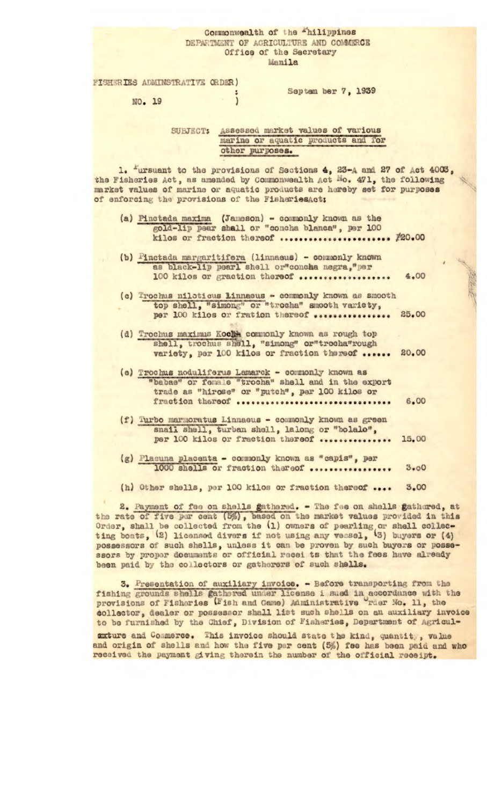## Commonwealth of the "hilippines DEPARTMENT OF AGRICULTURE AND COMMERCE Office of the Secretary Manila

FISHERIES ADMINSTRATIVE ORDER)

Septem ber 7, 1939

NO. 19

Assessed market values of various SUBJECT: marine or aquatic products and for other purposes.

 $\mathbf{I}$ 

1. "ursuant to the provisions of Sections 4, 23-A and 27 of Act 4003, the Fisheries Act, as amended by Commonwealth Act Mo. 471, the following market values of marine or aquatic products are hereby set for purposes of enforcing the provisions of the FisheriesAct;

- (a) Pinctada maxima (Jameson) commonly known as the gold-lip pear shall or "concha blanca", per 100 kilos or fraction thereof ...................... #20.00
- (b) Finctada margaritifera (linnaeus) commonly known as black-lip pearl shell or"concha negra, "per 100 kilos or graction thereof ..................  $4.00$
- (c) Trochus niloticus Linnaeus commonly known as smooth top shell, "simong" or "trocha" smooth variety, per 100 kilos or fration thereof ................. 25.00
- (d) Trochus maximus Kocht commonly known as rough top shell, trochus shell, "simong" or"trocha"rough variety, per 100 kilos or fraction thereof ...... 20.00
- (e) Trochus noduliferus Lamarck commonly known as "babas" or female "trocha" shell and in the export<br>trade as "hirose" or "putch", per 100 kilos or<br>fraction thereof ..................................  $6.00$
- (f) Turbo marmoratus Linnaeus commonly known as green snail shell, turban shell, lalong or "bolalo",<br>per 100 kilos or fraction thereof ............... 15.00
- (g) Placuna placenta commonly known as "capis", per 1000 shells or fraction thereof .................  $3.00$
- (h) Other shells, per 100 kilos or fraction thereof .... 3.00

2. Payment of fee on shells gathered. - The fee on shells gathered, at the rate of five per cent (5%), based on the market values provided in this Order, shall be collected from the (1) owners of pearling or shell collecting boats, (2) licensed divers if not using any vessel, (3) buyers or (4) possessors of such shells, unless it can be proven by such buyers or possessors by proper documents or official recei ts that the fees have already been paid by the collectors or gatherers of such shells.

3. Presentation of auxiliary invoice. - Before transporting from the fishing grounds shells gathered under license i sued in accordance with the provisions of Fisheries (Fish and Game) Administrative rder No. 11, the collector, dealer or possessor shall list such shells on an auxiliary invoice to be furnished by the Chief, Division of Fisheries, Department of Agricul-

auture and Commerce. This invoice should state the kind, quantity, value and origin of shells and how the five per cent (5%) fee has been paid and who received the payment giving therein the number of the official receipt.